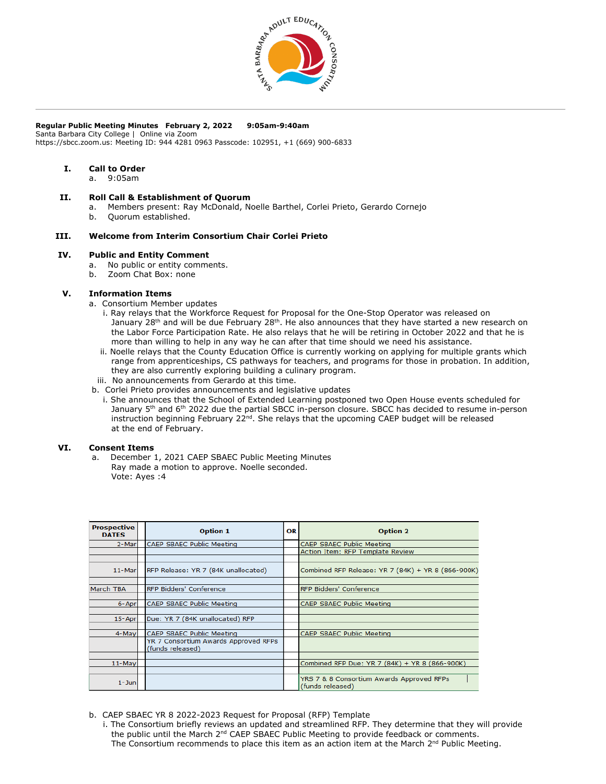

## **Regular Public Meeting Minutes February 2, 2022 9:05am-9:40am**

Santa Barbara City College | Online via Zoom https://sbcc.zoom.us: Meeting ID: 944 4281 0963 Passcode: 102951, +1 (669) 900-6833

## **I. Call to Order**

a. 9:05am

# **II. Roll Call & Establishment of Quorum**

- a. Members present: Ray McDonald, Noelle Barthel, Corlei Prieto, Gerardo Cornejo
- b. Quorum established.

## **III. Welcome from Interim Consortium Chair Corlei Prieto**

## **IV. Public and Entity Comment**

- a. No public or entity comments.
- b. Zoom Chat Box: none

#### **V. Information Items**

- a. Consortium Member updates
	- i. Ray relays that the Workforce Request for Proposal for the One-Stop Operator was released on January  $28<sup>th</sup>$  and will be due February  $28<sup>th</sup>$ . He also announces that they have started a new research on the Labor Force Participation Rate. He also relays that he will be retiring in October 2022 and that he is more than willing to help in any way he can after that time should we need his assistance.
	- ii. Noelle relays that the County Education Office is currently working on applying for multiple grants which range from apprenticeships, CS pathways for teachers, and programs for those in probation. In addition, they are also currently exploring building a culinary program.
- iii. No announcements from Gerardo at this time.
- b. Corlei Prieto provides announcements and legislative updates
	- i. She announces that the School of Extended Learning postponed two Open House events scheduled for January 5<sup>th</sup> and 6<sup>th</sup> 2022 due the partial SBCC in-person closure. SBCC has decided to resume in-person instruction beginning February 22<sup>nd</sup>. She relays that the upcoming CAEP budget will be released at the end of February.

# **VI. Consent Items**

a. December 1, 2021 CAEP SBAEC Public Meeting Minutes Ray made a motion to approve. Noelle seconded. Vote: Ayes :4

| <b>Prospective</b><br><b>DATES</b> | <b>Option 1</b>                                          | OR | <b>Option 2</b>                                               |
|------------------------------------|----------------------------------------------------------|----|---------------------------------------------------------------|
| 2-Mar                              | CAEP SBAEC Public Meeting                                |    | CAEP SBAEC Public Meeting                                     |
|                                    |                                                          |    | Action Item: RFP Template Review                              |
|                                    |                                                          |    |                                                               |
| 11-Marl                            | RFP Release: YR 7 (84K unallocated)                      |    | Combined RFP Release: YR 7 (84K) + YR 8 (866-900K)            |
|                                    |                                                          |    |                                                               |
| March TBA                          | RFP Bidders' Conference                                  |    | <b>RFP Bidders' Conference</b>                                |
|                                    |                                                          |    |                                                               |
| 6-Apr                              | CAEP SBAEC Public Meeting                                |    | CAEP SBAEC Public Meeting                                     |
|                                    |                                                          |    |                                                               |
| 15-Apr                             | Due: YR 7 (84K unallocated) RFP                          |    |                                                               |
|                                    |                                                          |    |                                                               |
| 4-May                              | CAEP SBAEC Public Meeting                                |    | CAEP SBAEC Public Meeting                                     |
|                                    | YR 7 Consortium Awards Approved RFPs<br>(funds released) |    |                                                               |
|                                    |                                                          |    |                                                               |
| 11-May                             |                                                          |    | Combined RFP Due: YR 7 (84K) + YR 8 (866-900K)                |
|                                    |                                                          |    |                                                               |
| $1 -$ Jun                          |                                                          |    | YRS 7 & 8 Consortium Awards Approved RFPs<br>(funds released) |

- b. CAEP SBAEC YR 8 2022-2023 Request for Proposal (RFP) Template
	- i. The Consortium briefly reviews an updated and streamlined RFP. They determine that they will provide the public until the March 2<sup>nd</sup> CAEP SBAEC Public Meeting to provide feedback or comments. The Consortium recommends to place this item as an action item at the March  $2^{nd}$  Public Meeting.